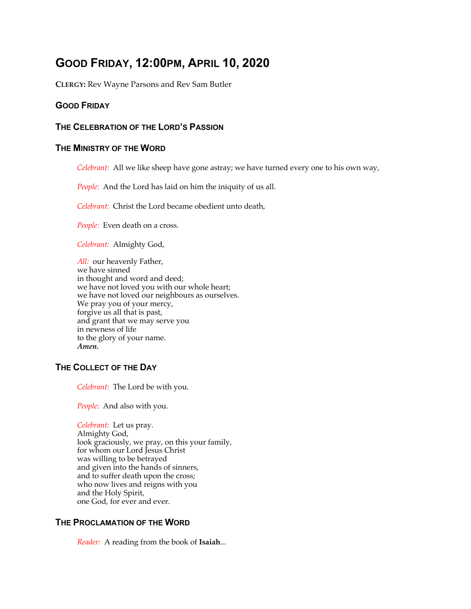# **GOOD FRIDAY, 12:00PM, APRIL 10, 2020**

**CLERGY:** Rev Wayne Parsons and Rev Sam Butler

# **GOOD FRIDAY**

# **THE CELEBRATION OF THE LORD'S PASSION**

# **THE MINISTRY OF THE WORD**

*Celebrant:* All we like sheep have gone astray; we have turned every one to his own way,

*People:* And the Lord has laid on him the iniquity of us all.

*Celebrant:* Christ the Lord became obedient unto death,

*People:* Even death on a cross.

*Celebrant:* Almighty God,

*All:* our heavenly Father, we have sinned in thought and word and deed; we have not loved you with our whole heart; we have not loved our neighbours as ourselves. We pray you of your mercy, forgive us all that is past, and grant that we may serve you in newness of life to the glory of your name. *Amen.*

### **THE COLLECT OF THE DAY**

*Celebrant:* The Lord be with you.

*People:* And also with you.

*Celebrant:* Let us pray. Almighty God, look graciously, we pray, on this your family, for whom our Lord Jesus Christ was willing to be betrayed and given into the hands of sinners, and to suffer death upon the cross; who now lives and reigns with you and the Holy Spirit, one God, for ever and ever.

# **THE PROCLAMATION OF THE WORD**

*Reader:* A reading from the book of **Isaiah**...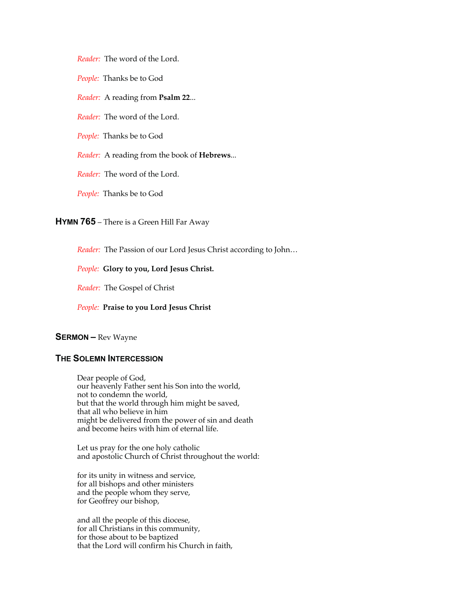*Reader:* The word of the Lord.

*People:* Thanks be to God

*Reader:* A reading from **Psalm 22**...

*Reader:* The word of the Lord.

*People:* Thanks be to God

*Reader:* A reading from the book of **Hebrews**...

*Reader:* The word of the Lord.

*People:* Thanks be to God

**HYMN 765** – There is a Green Hill Far Away

*Reader:* The Passion of our Lord Jesus Christ according to John…

*People:* **Glory to you, Lord Jesus Christ.** 

*Reader:* The Gospel of Christ

*People:* **Praise to you Lord Jesus Christ**

### **SERMON –** Rev Wayne

### **THE SOLEMN INTERCESSION**

Dear people of God, our heavenly Father sent his Son into the world, not to condemn the world, but that the world through him might be saved, that all who believe in him might be delivered from the power of sin and death and become heirs with him of eternal life.

Let us pray for the one holy catholic and apostolic Church of Christ throughout the world:

for its unity in witness and service, for all bishops and other ministers and the people whom they serve, for Geoffrey our bishop,

and all the people of this diocese, for all Christians in this community, for those about to be baptized that the Lord will confirm his Church in faith,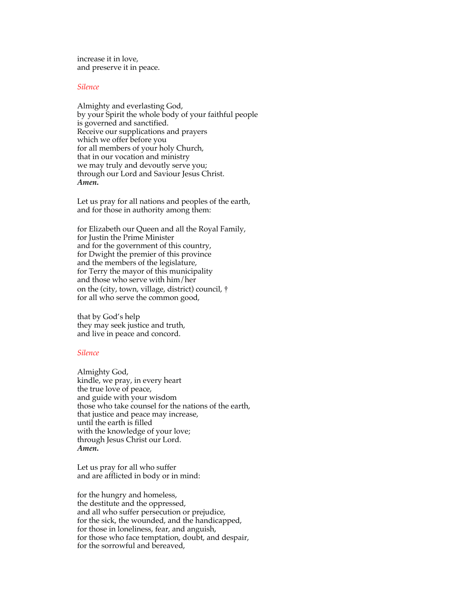increase it in love, and preserve it in peace.

#### *Silence*

Almighty and everlasting God, by your Spirit the whole body of your faithful people is governed and sanctified. Receive our supplications and prayers which we offer before you for all members of your holy Church, that in our vocation and ministry we may truly and devoutly serve you; through our Lord and Saviour Jesus Christ. *Amen***.** 

Let us pray for all nations and peoples of the earth, and for those in authority among them:

for Elizabeth our Queen and all the Royal Family, for Justin the Prime Minister and for the government of this country, for Dwight the premier of this province and the members of the legislature, for Terry the mayor of this municipality and those who serve with him/her on the (city, town, village, district) council, † for all who serve the common good,

that by God's help they may seek justice and truth, and live in peace and concord.

#### *Silence*

Almighty God, kindle, we pray, in every heart the true love of peace, and guide with your wisdom those who take counsel for the nations of the earth, that justice and peace may increase, until the earth is filled with the knowledge of your love; through Jesus Christ our Lord. *Amen***.** 

Let us pray for all who suffer and are afflicted in body or in mind:

for the hungry and homeless, the destitute and the oppressed, and all who suffer persecution or prejudice, for the sick, the wounded, and the handicapped, for those in loneliness, fear, and anguish, for those who face temptation, doubt, and despair, for the sorrowful and bereaved,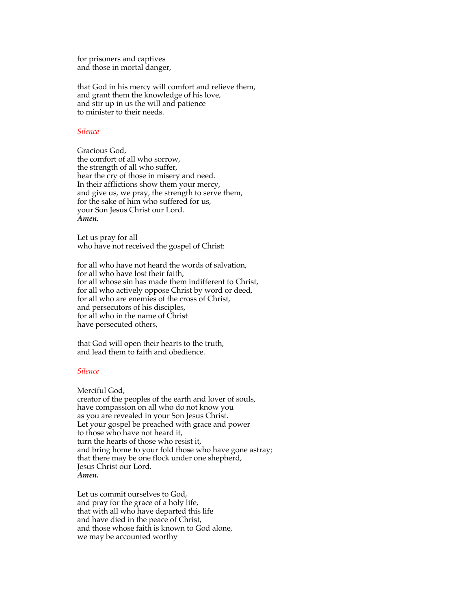for prisoners and captives and those in mortal danger,

that God in his mercy will comfort and relieve them, and grant them the knowledge of his love, and stir up in us the will and patience to minister to their needs.

#### *Silence*

Gracious God, the comfort of all who sorrow, the strength of all who suffer, hear the cry of those in misery and need. In their afflictions show them your mercy, and give us, we pray, the strength to serve them, for the sake of him who suffered for us, your Son Jesus Christ our Lord. *Amen***.** 

Let us pray for all who have not received the gospel of Christ:

for all who have not heard the words of salvation, for all who have lost their faith, for all whose sin has made them indifferent to Christ, for all who actively oppose Christ by word or deed, for all who are enemies of the cross of Christ, and persecutors of his disciples, for all who in the name of Christ have persecuted others,

that God will open their hearts to the truth, and lead them to faith and obedience.

#### *Silence*

Merciful God,

creator of the peoples of the earth and lover of souls, have compassion on all who do not know you as you are revealed in your Son Jesus Christ. Let your gospel be preached with grace and power to those who have not heard it, turn the hearts of those who resist it, and bring home to your fold those who have gone astray; that there may be one flock under one shepherd, Jesus Christ our Lord. *Amen***.** 

Let us commit ourselves to God, and pray for the grace of a holy life, that with all who have departed this life and have died in the peace of Christ, and those whose faith is known to God alone, we may be accounted worthy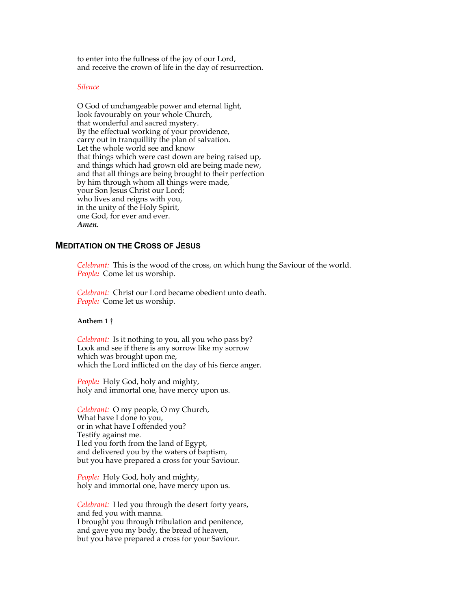to enter into the fullness of the joy of our Lord, and receive the crown of life in the day of resurrection.

#### *Silence*

O God of unchangeable power and eternal light, look favourably on your whole Church, that wonderful and sacred mystery. By the effectual working of your providence, carry out in tranquillity the plan of salvation. Let the whole world see and know that things which were cast down are being raised up, and things which had grown old are being made new, and that all things are being brought to their perfection by him through whom all things were made, your Son Jesus Christ our Lord; who lives and reigns with you, in the unity of the Holy Spirit, one God, for ever and ever. *Amen***.**

### **MEDITATION ON THE CROSS OF JESUS**

*Celebrant:* This is the wood of the cross, on which hung the Saviour of the world. *People:* Come let us worship.

*Celebrant:* Christ our Lord became obedient unto death. *People:* Come let us worship.

#### **Anthem 1** †

*Celebrant:* Is it nothing to you, all you who pass by? Look and see if there is any sorrow like my sorrow which was brought upon me, which the Lord inflicted on the day of his fierce anger.

*People:* Holy God, holy and mighty, holy and immortal one, have mercy upon us.

*Celebrant:* O my people, O my Church, What have I done to you, or in what have I offended you? Testify against me. I led you forth from the land of Egypt, and delivered you by the waters of baptism, but you have prepared a cross for your Saviour.

*People:* Holy God, holy and mighty, holy and immortal one, have mercy upon us.

*Celebrant:* I led you through the desert forty years, and fed you with manna. I brought you through tribulation and penitence, and gave you my body, the bread of heaven, but you have prepared a cross for your Saviour.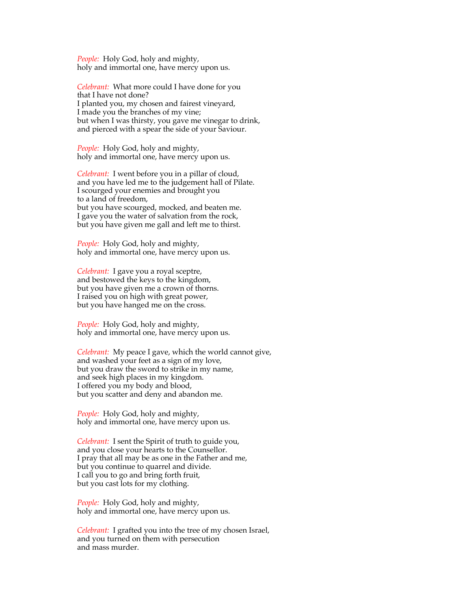*People:* Holy God, holy and mighty, holy and immortal one, have mercy upon us.

*Celebrant:* What more could I have done for you that I have not done? I planted you, my chosen and fairest vineyard, I made you the branches of my vine; but when I was thirsty, you gave me vinegar to drink, and pierced with a spear the side of your Saviour.

*People:* Holy God, holy and mighty, holy and immortal one, have mercy upon us.

*Celebrant:* I went before you in a pillar of cloud, and you have led me to the judgement hall of Pilate. I scourged your enemies and brought you to a land of freedom, but you have scourged, mocked, and beaten me. I gave you the water of salvation from the rock, but you have given me gall and left me to thirst.

*People:* Holy God, holy and mighty, holy and immortal one, have mercy upon us.

*Celebrant:* I gave you a royal sceptre, and bestowed the keys to the kingdom, but you have given me a crown of thorns. I raised you on high with great power, but you have hanged me on the cross.

*People:* Holy God, holy and mighty, holy and immortal one, have mercy upon us.

*Celebrant:* My peace I gave, which the world cannot give, and washed your feet as a sign of my love, but you draw the sword to strike in my name, and seek high places in my kingdom. I offered you my body and blood, but you scatter and deny and abandon me.

*People:* Holy God, holy and mighty, holy and immortal one, have mercy upon us.

*Celebrant:* I sent the Spirit of truth to guide you, and you close your hearts to the Counsellor. I pray that all may be as one in the Father and me, but you continue to quarrel and divide. I call you to go and bring forth fruit, but you cast lots for my clothing.

*People:* Holy God, holy and mighty, holy and immortal one, have mercy upon us.

*Celebrant:* I grafted you into the tree of my chosen Israel, and you turned on them with persecution and mass murder.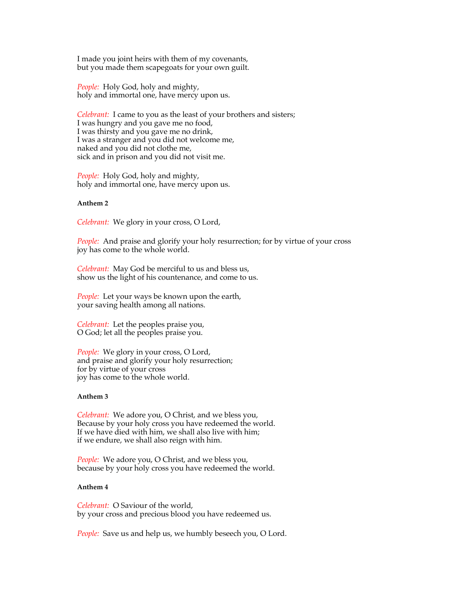I made you joint heirs with them of my covenants, but you made them scapegoats for your own guilt.

*People:* Holy God, holy and mighty, holy and immortal one, have mercy upon us.

*Celebrant:* I came to you as the least of your brothers and sisters; I was hungry and you gave me no food, I was thirsty and you gave me no drink, I was a stranger and you did not welcome me, naked and you did not clothe me, sick and in prison and you did not visit me.

*People:* Holy God, holy and mighty, holy and immortal one, have mercy upon us.

### **Anthem 2**

*Celebrant:* We glory in your cross, O Lord,

*People:* And praise and glorify your holy resurrection; for by virtue of your cross joy has come to the whole world.

*Celebrant:* May God be merciful to us and bless us, show us the light of his countenance, and come to us.

*People:* Let your ways be known upon the earth, your saving health among all nations.

*Celebrant:* Let the peoples praise you, O God; let all the peoples praise you.

*People:* We glory in your cross, O Lord, and praise and glorify your holy resurrection; for by virtue of your cross joy has come to the whole world.

#### **Anthem 3**

*Celebrant:* We adore you, O Christ, and we bless you, Because by your holy cross you have redeemed the world. If we have died with him, we shall also live with him; if we endure, we shall also reign with him.

*People:* We adore you, O Christ, and we bless you, because by your holy cross you have redeemed the world.

#### **Anthem 4**

*Celebrant:* O Saviour of the world, by your cross and precious blood you have redeemed us.

*People:* Save us and help us, we humbly beseech you, O Lord.